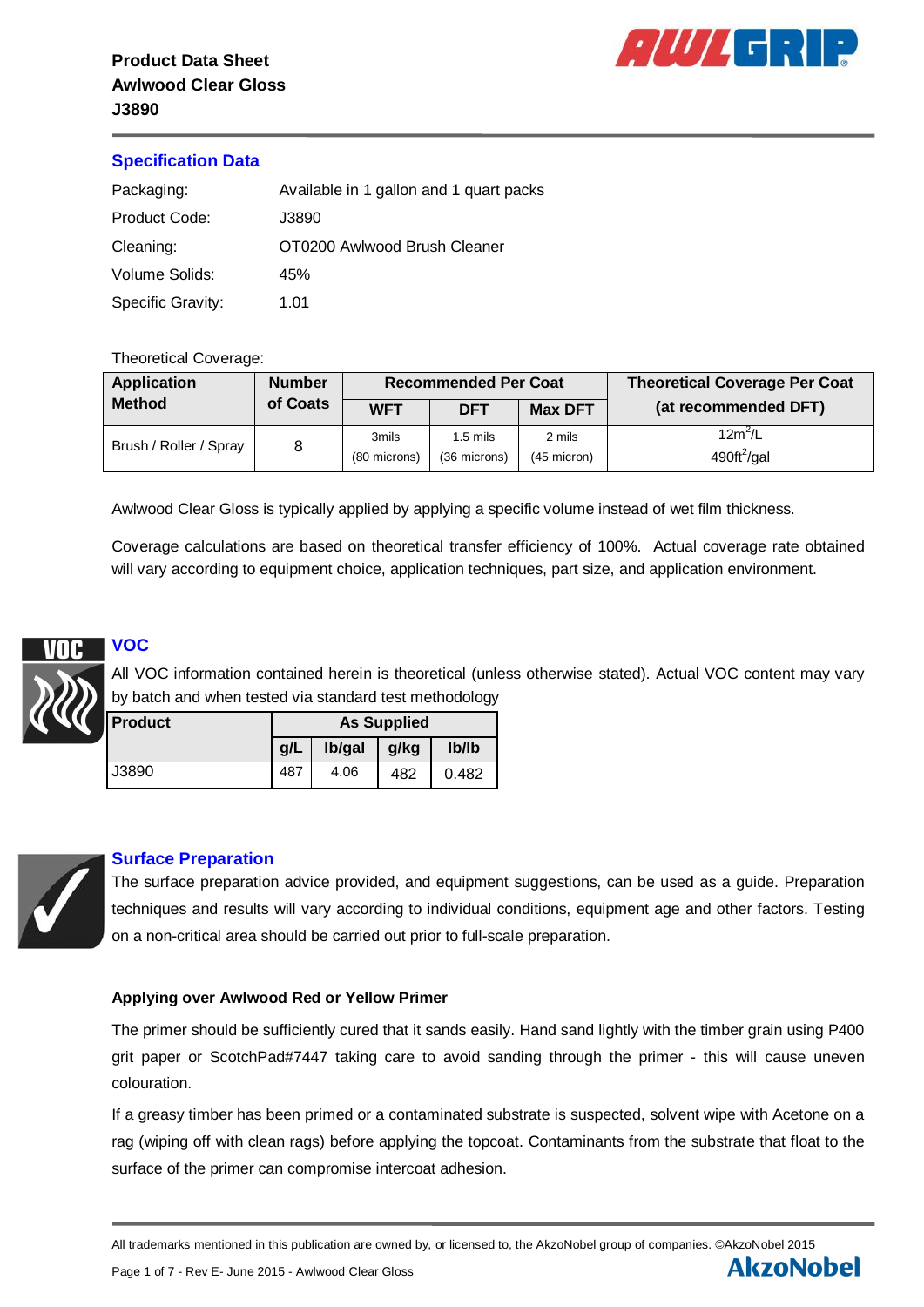

## **Specification Data**

| Packaging:               | Available in 1 gallon and 1 quart packs |
|--------------------------|-----------------------------------------|
| Product Code:            | J3890                                   |
| Cleaning:                | OT0200 Awlwood Brush Cleaner            |
| Volume Solids:           | 45%                                     |
| <b>Specific Gravity:</b> | 1.01                                    |

#### Theoretical Coverage:

| <b>Application</b>     | <b>Number</b> |                       | <b>Recommended Per Coat</b> |                         | <b>Theoretical Coverage Per Coat</b>      |  |
|------------------------|---------------|-----------------------|-----------------------------|-------------------------|-------------------------------------------|--|
| <b>Method</b>          | of Coats      | <b>WFT</b>            | <b>DFT</b>                  | <b>Max DFT</b>          | (at recommended DFT)                      |  |
| Brush / Roller / Spray |               | 3mils<br>(80 microns) | 1.5 mils<br>(36 microns)    | 2 mils<br>$(45$ micron) | $12m^2/L$<br>$490 \text{ft}^2/\text{gal}$ |  |

Awlwood Clear Gloss is typically applied by applying a specific volume instead of wet film thickness.

Coverage calculations are based on theoretical transfer efficiency of 100%. Actual coverage rate obtained will vary according to equipment choice, application techniques, part size, and application environment.



# **VOC**

All VOC information contained herein is theoretical (unless otherwise stated). Actual VOC content may vary by batch and when tested via standard test methodology

| <b>I</b> Product | <b>As Supplied</b> |                          |      |       |  |
|------------------|--------------------|--------------------------|------|-------|--|
|                  | g/L                | Ib/gal<br>$\blacksquare$ | g/kg | Ib/Ib |  |
| J3890            | 487                | 4.06                     | 482  | 0.482 |  |



## **Surface Preparation**

The surface preparation advice provided, and equipment suggestions, can be used as a guide. Preparation techniques and results will vary according to individual conditions, equipment age and other factors. Testing on a non-critical area should be carried out prior to full-scale preparation.

#### **Applying over Awlwood Red or Yellow Primer**

The primer should be sufficiently cured that it sands easily. Hand sand lightly with the timber grain using P400 grit paper or ScotchPad#7447 taking care to avoid sanding through the primer - this will cause uneven colouration.

If a greasy timber has been primed or a contaminated substrate is suspected, solvent wipe with Acetone on a rag (wiping off with clean rags) before applying the topcoat. Contaminants from the substrate that float to the surface of the primer can compromise intercoat adhesion.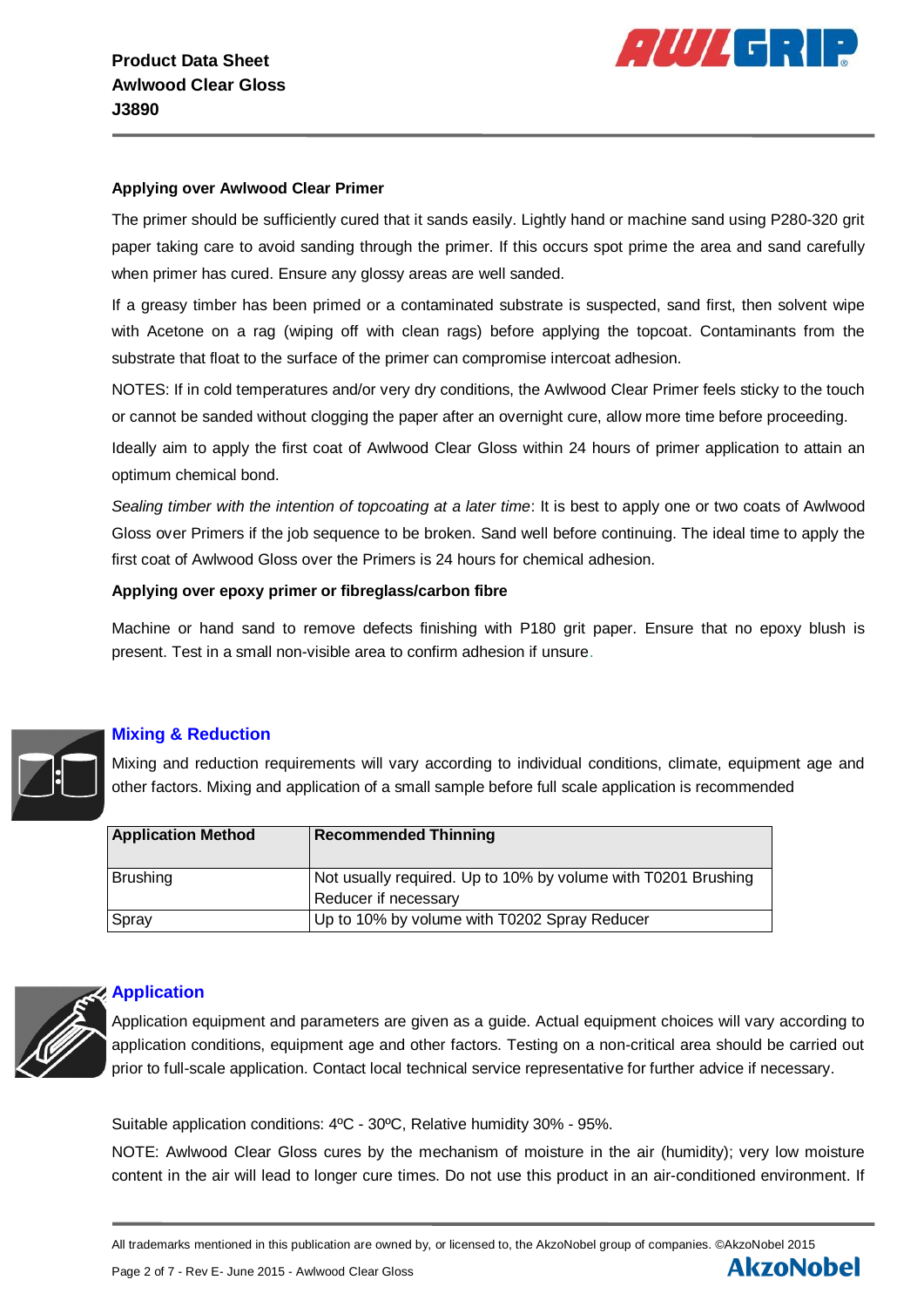

#### **Applying over Awlwood Clear Primer**

The primer should be sufficiently cured that it sands easily. Lightly hand or machine sand using P280-320 grit paper taking care to avoid sanding through the primer. If this occurs spot prime the area and sand carefully when primer has cured. Ensure any glossy areas are well sanded.

If a greasy timber has been primed or a contaminated substrate is suspected, sand first, then solvent wipe with Acetone on a rag (wiping off with clean rags) before applying the topcoat. Contaminants from the substrate that float to the surface of the primer can compromise intercoat adhesion.

NOTES: If in cold temperatures and/or very dry conditions, the Awlwood Clear Primer feels sticky to the touch or cannot be sanded without clogging the paper after an overnight cure, allow more time before proceeding.

Ideally aim to apply the first coat of Awlwood Clear Gloss within 24 hours of primer application to attain an optimum chemical bond.

*Sealing timber with the intention of topcoating at a later time*: It is best to apply one or two coats of Awlwood Gloss over Primers if the job sequence to be broken. Sand well before continuing. The ideal time to apply the first coat of Awlwood Gloss over the Primers is 24 hours for chemical adhesion.

## **Applying over epoxy primer or fibreglass/carbon fibre**

Machine or hand sand to remove defects finishing with P180 grit paper. Ensure that no epoxy blush is present. Test in a small non-visible area to confirm adhesion if unsure.



## **Mixing & Reduction**

Mixing and reduction requirements will vary according to individual conditions, climate, equipment age and other factors. Mixing and application of a small sample before full scale application is recommended

| <b>Application Method</b> | <b>Recommended Thinning</b>                                                           |
|---------------------------|---------------------------------------------------------------------------------------|
| <b>Brushing</b>           | Not usually required. Up to 10% by volume with T0201 Brushing<br>Reducer if necessary |
| Spray                     | Up to 10% by volume with T0202 Spray Reducer                                          |



## **Application**

Application equipment and parameters are given as a guide. Actual equipment choices will vary according to application conditions, equipment age and other factors. Testing on a non-critical area should be carried out prior to full-scale application. Contact local technical service representative for further advice if necessary.

Suitable application conditions: 4ºC - 30ºC, Relative humidity 30% - 95%.

NOTE: Awlwood Clear Gloss cures by the mechanism of moisture in the air (humidity); very low moisture content in the air will lead to longer cure times. Do not use this product in an air-conditioned environment. If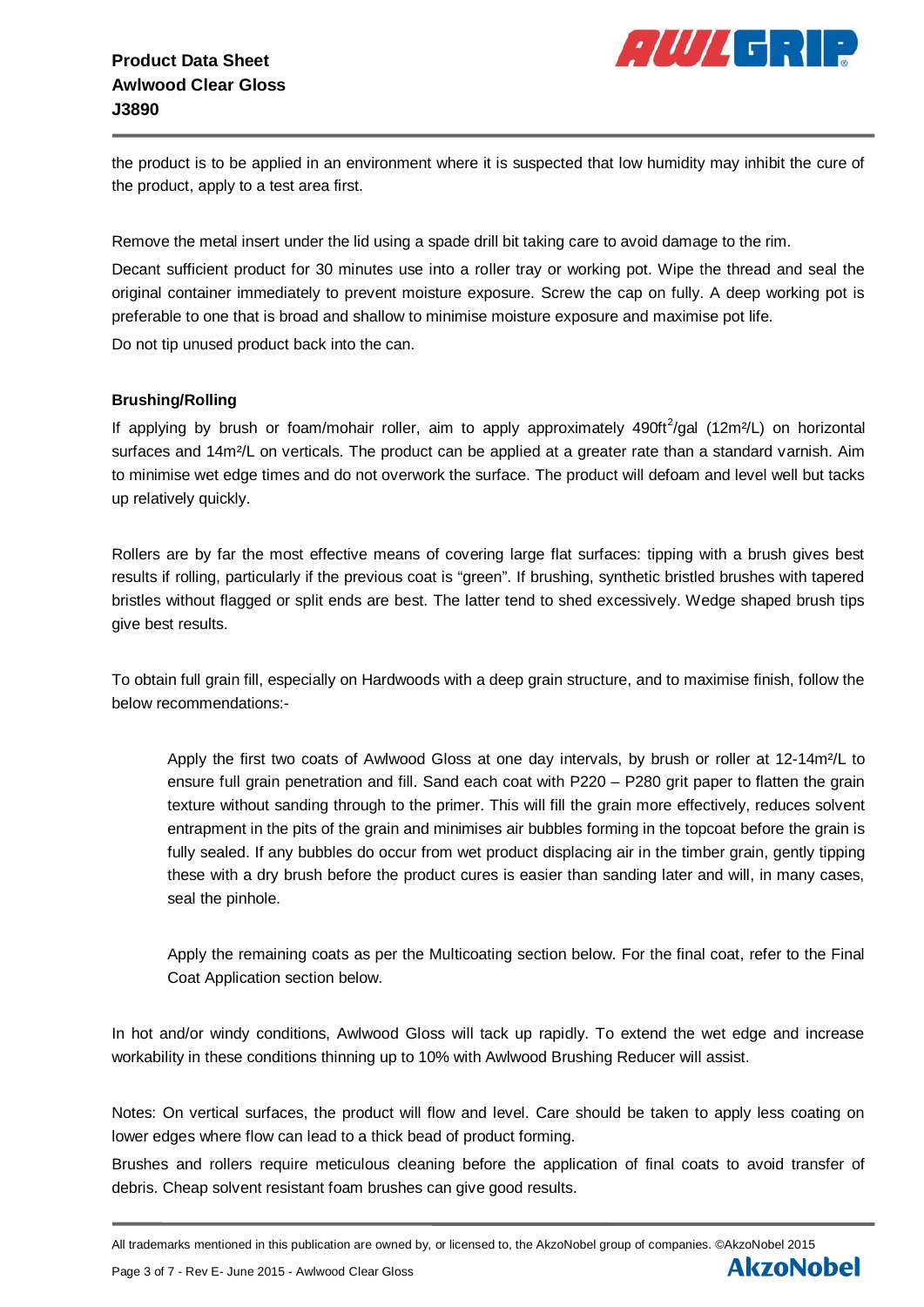

the product is to be applied in an environment where it is suspected that low humidity may inhibit the cure of the product, apply to a test area first.

Remove the metal insert under the lid using a spade drill bit taking care to avoid damage to the rim.

Decant sufficient product for 30 minutes use into a roller tray or working pot. Wipe the thread and seal the original container immediately to prevent moisture exposure. Screw the cap on fully. A deep working pot is preferable to one that is broad and shallow to minimise moisture exposure and maximise pot life.

Do not tip unused product back into the can.

#### **Brushing/Rolling**

If applying by brush or foam/mohair roller, aim to apply approximately 490ft<sup>2</sup>/gal (12m<sup>2</sup>/L) on horizontal surfaces and 14m<sup>2</sup>/L on verticals. The product can be applied at a greater rate than a standard varnish. Aim to minimise wet edge times and do not overwork the surface. The product will defoam and level well but tacks up relatively quickly.

Rollers are by far the most effective means of covering large flat surfaces: tipping with a brush gives best results if rolling, particularly if the previous coat is "green". If brushing, synthetic bristled brushes with tapered bristles without flagged or split ends are best. The latter tend to shed excessively. Wedge shaped brush tips give best results.

To obtain full grain fill, especially on Hardwoods with a deep grain structure, and to maximise finish, follow the below recommendations:-

Apply the first two coats of Awlwood Gloss at one day intervals, by brush or roller at 12-14m²/L to ensure full grain penetration and fill. Sand each coat with P220 – P280 grit paper to flatten the grain texture without sanding through to the primer. This will fill the grain more effectively, reduces solvent entrapment in the pits of the grain and minimises air bubbles forming in the topcoat before the grain is fully sealed. If any bubbles do occur from wet product displacing air in the timber grain, gently tipping these with a dry brush before the product cures is easier than sanding later and will, in many cases, seal the pinhole.

Apply the remaining coats as per the Multicoating section below. For the final coat, refer to the Final Coat Application section below.

In hot and/or windy conditions, Awlwood Gloss will tack up rapidly. To extend the wet edge and increase workability in these conditions thinning up to 10% with Awlwood Brushing Reducer will assist.

Notes: On vertical surfaces, the product will flow and level. Care should be taken to apply less coating on lower edges where flow can lead to a thick bead of product forming.

Brushes and rollers require meticulous cleaning before the application of final coats to avoid transfer of debris. Cheap solvent resistant foam brushes can give good results.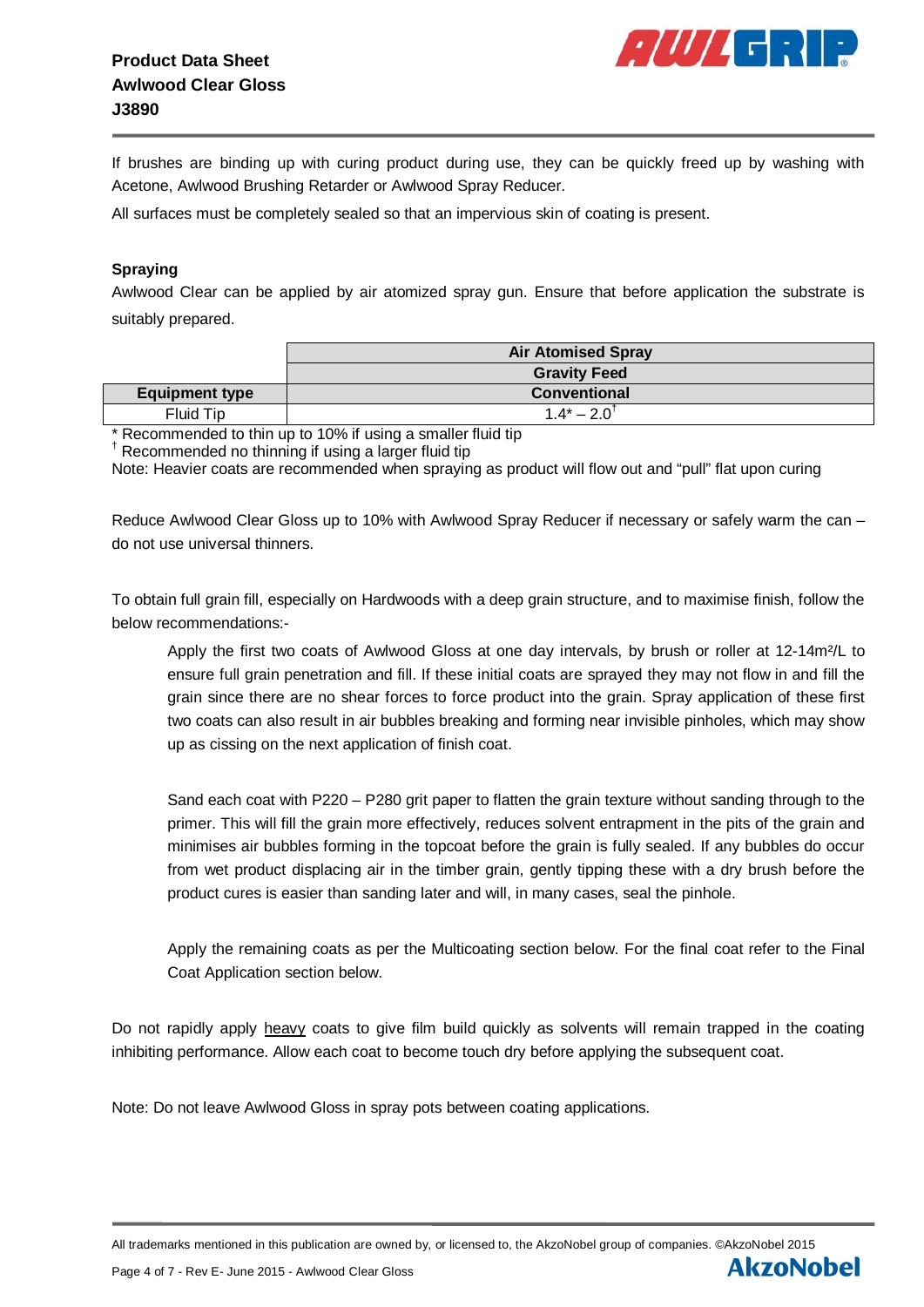

If brushes are binding up with curing product during use, they can be quickly freed up by washing with Acetone, Awlwood Brushing Retarder or Awlwood Spray Reducer.

All surfaces must be completely sealed so that an impervious skin of coating is present.

#### **Spraying**

Awlwood Clear can be applied by air atomized spray gun. Ensure that before application the substrate is suitably prepared.

|                       | <b>Air Atomised Spray</b> |
|-----------------------|---------------------------|
|                       | <b>Gravity Feed</b>       |
| <b>Equipment type</b> | <b>Conventional</b>       |
| Fluid Tip             | $1.4^* - 2.0^{\dagger}$   |

Recommended to thin up to 10% if using a smaller fluid tip

† Recommended no thinning if using a larger fluid tip

Note: Heavier coats are recommended when spraying as product will flow out and "pull" flat upon curing

Reduce Awlwood Clear Gloss up to 10% with Awlwood Spray Reducer if necessary or safely warm the can – do not use universal thinners.

To obtain full grain fill, especially on Hardwoods with a deep grain structure, and to maximise finish, follow the below recommendations:-

Apply the first two coats of Awlwood Gloss at one day intervals, by brush or roller at 12-14m<sup>2</sup>/L to ensure full grain penetration and fill. If these initial coats are sprayed they may not flow in and fill the grain since there are no shear forces to force product into the grain. Spray application of these first two coats can also result in air bubbles breaking and forming near invisible pinholes, which may show up as cissing on the next application of finish coat.

Sand each coat with P220 – P280 grit paper to flatten the grain texture without sanding through to the primer. This will fill the grain more effectively, reduces solvent entrapment in the pits of the grain and minimises air bubbles forming in the topcoat before the grain is fully sealed. If any bubbles do occur from wet product displacing air in the timber grain, gently tipping these with a dry brush before the product cures is easier than sanding later and will, in many cases, seal the pinhole.

Apply the remaining coats as per the Multicoating section below. For the final coat refer to the Final Coat Application section below.

Do not rapidly apply heavy coats to give film build quickly as solvents will remain trapped in the coating inhibiting performance. Allow each coat to become touch dry before applying the subsequent coat.

Note: Do not leave Awlwood Gloss in spray pots between coating applications.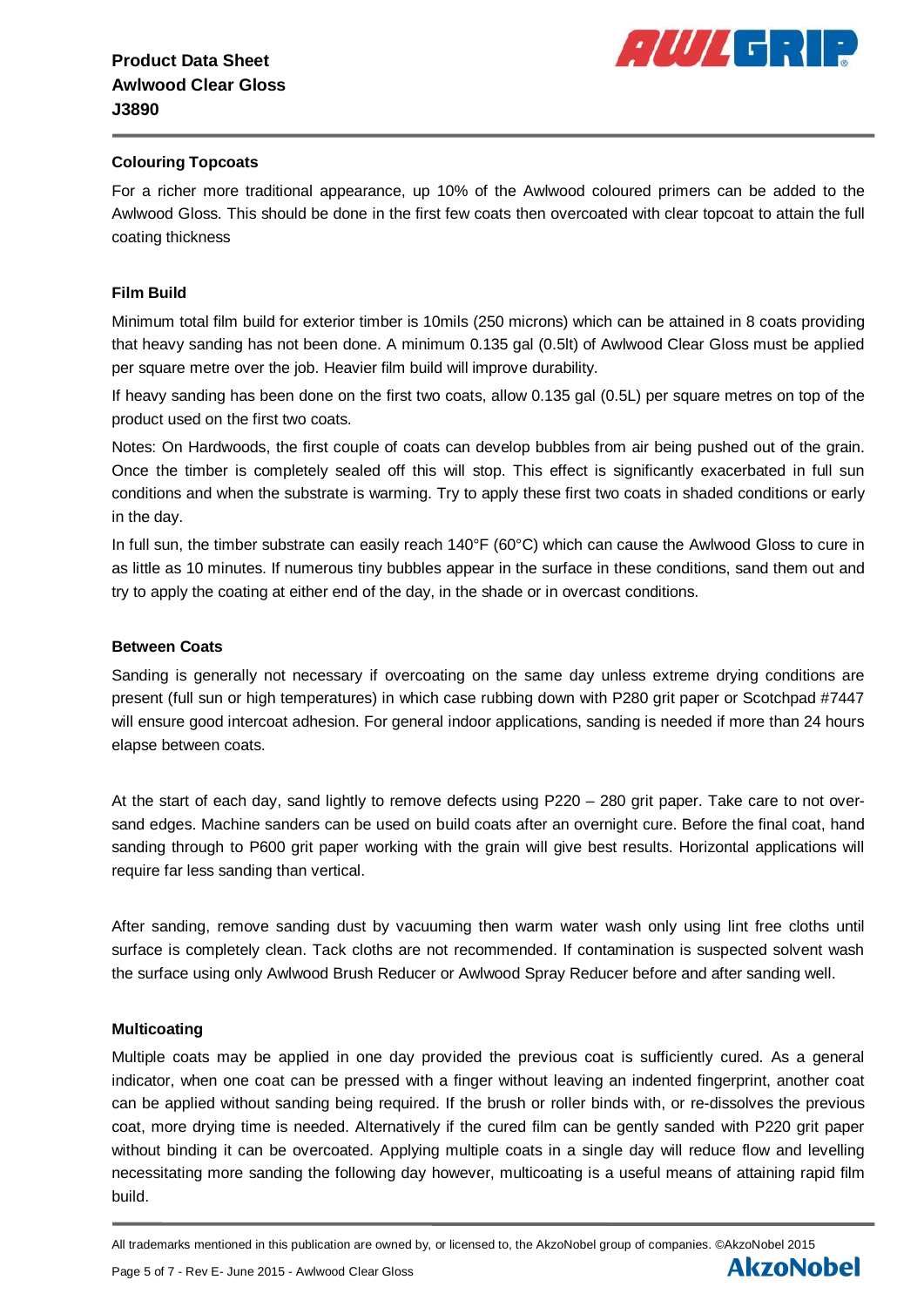

#### **Colouring Topcoats**

For a richer more traditional appearance, up 10% of the Awlwood coloured primers can be added to the Awlwood Gloss. This should be done in the first few coats then overcoated with clear topcoat to attain the full coating thickness

#### **Film Build**

Minimum total film build for exterior timber is 10mils (250 microns) which can be attained in 8 coats providing that heavy sanding has not been done. A minimum 0.135 gal (0.5lt) of Awlwood Clear Gloss must be applied per square metre over the job. Heavier film build will improve durability.

If heavy sanding has been done on the first two coats, allow 0.135 gal (0.5L) per square metres on top of the product used on the first two coats.

Notes: On Hardwoods, the first couple of coats can develop bubbles from air being pushed out of the grain. Once the timber is completely sealed off this will stop. This effect is significantly exacerbated in full sun conditions and when the substrate is warming. Try to apply these first two coats in shaded conditions or early in the day.

In full sun, the timber substrate can easily reach 140°F (60°C) which can cause the Awlwood Gloss to cure in as little as 10 minutes. If numerous tiny bubbles appear in the surface in these conditions, sand them out and try to apply the coating at either end of the day, in the shade or in overcast conditions.

#### **Between Coats**

Sanding is generally not necessary if overcoating on the same day unless extreme drying conditions are present (full sun or high temperatures) in which case rubbing down with P280 grit paper or Scotchpad #7447 will ensure good intercoat adhesion. For general indoor applications, sanding is needed if more than 24 hours elapse between coats.

At the start of each day, sand lightly to remove defects using P220 – 280 grit paper. Take care to not oversand edges. Machine sanders can be used on build coats after an overnight cure. Before the final coat, hand sanding through to P600 grit paper working with the grain will give best results. Horizontal applications will require far less sanding than vertical.

After sanding, remove sanding dust by vacuuming then warm water wash only using lint free cloths until surface is completely clean. Tack cloths are not recommended. If contamination is suspected solvent wash the surface using only Awlwood Brush Reducer or Awlwood Spray Reducer before and after sanding well.

#### **Multicoating**

Multiple coats may be applied in one day provided the previous coat is sufficiently cured. As a general indicator, when one coat can be pressed with a finger without leaving an indented fingerprint, another coat can be applied without sanding being required. If the brush or roller binds with, or re-dissolves the previous coat, more drying time is needed. Alternatively if the cured film can be gently sanded with P220 grit paper without binding it can be overcoated. Applying multiple coats in a single day will reduce flow and levelling necessitating more sanding the following day however, multicoating is a useful means of attaining rapid film build.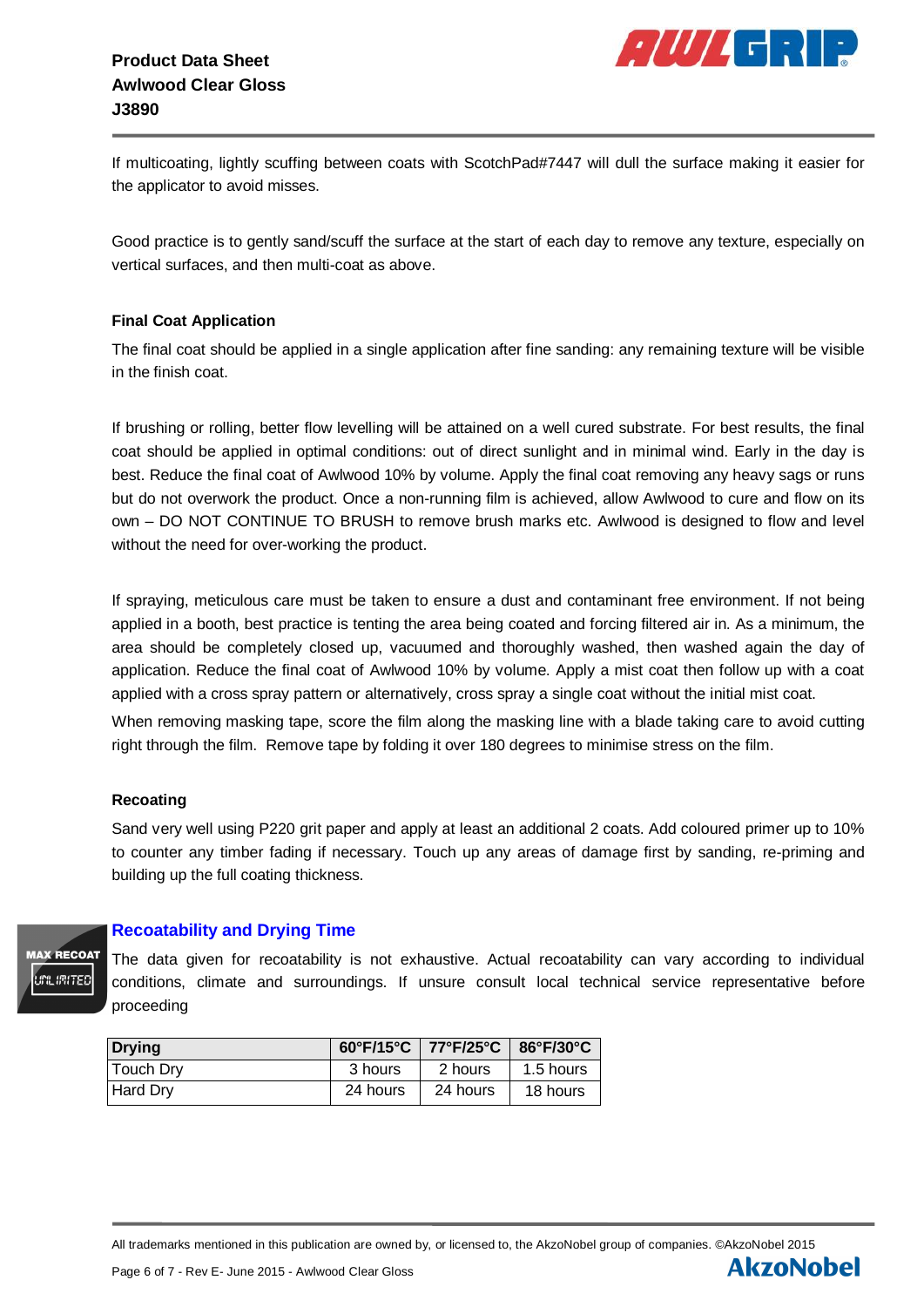

If multicoating, lightly scuffing between coats with ScotchPad#7447 will dull the surface making it easier for the applicator to avoid misses.

Good practice is to gently sand/scuff the surface at the start of each day to remove any texture, especially on vertical surfaces, and then multi-coat as above.

#### **Final Coat Application**

The final coat should be applied in a single application after fine sanding: any remaining texture will be visible in the finish coat.

If brushing or rolling, better flow levelling will be attained on a well cured substrate. For best results, the final coat should be applied in optimal conditions: out of direct sunlight and in minimal wind. Early in the day is best. Reduce the final coat of Awlwood 10% by volume. Apply the final coat removing any heavy sags or runs but do not overwork the product. Once a non-running film is achieved, allow Awlwood to cure and flow on its own – DO NOT CONTINUE TO BRUSH to remove brush marks etc. Awlwood is designed to flow and level without the need for over-working the product.

If spraying, meticulous care must be taken to ensure a dust and contaminant free environment. If not being applied in a booth, best practice is tenting the area being coated and forcing filtered air in. As a minimum, the area should be completely closed up, vacuumed and thoroughly washed, then washed again the day of application. Reduce the final coat of Awlwood 10% by volume. Apply a mist coat then follow up with a coat applied with a cross spray pattern or alternatively, cross spray a single coat without the initial mist coat.

When removing masking tape, score the film along the masking line with a blade taking care to avoid cutting right through the film. Remove tape by folding it over 180 degrees to minimise stress on the film.

#### **Recoating**

Sand very well using P220 grit paper and apply at least an additional 2 coats. Add coloured primer up to 10% to counter any timber fading if necessary. Touch up any areas of damage first by sanding, re-priming and building up the full coating thickness.



## **Recoatability and Drying Time**

The data given for recoatability is not exhaustive. Actual recoatability can vary according to individual conditions, climate and surroundings. If unsure consult local technical service representative before proceeding

| <b>Drying</b> |          | 60°F/15°C   77°F/25°C   86°F/30°C |           |
|---------------|----------|-----------------------------------|-----------|
| Touch Dry     | 3 hours  | 2 hours                           | 1.5 hours |
| Hard Dry      | 24 hours | 24 hours                          | 18 hours  |